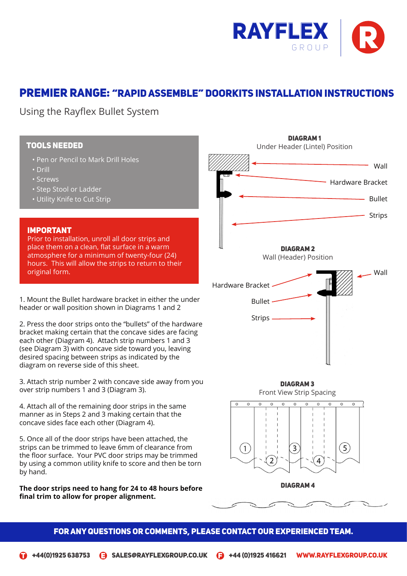

# Premier Range: "Rapid Assemble" Doorkits Installation Instructions

Using the Rayflex Bullet System

### TOOLS NEEDED

- Pen or Pencil to Mark Drill Holes
- Drill
- Screws
- Step Stool or Ladder
- Utility Knife to Cut Strip

#### IMPORTANT

Prior to installation, unroll all door strips and place them on a clean, flat surface in a warm atmosphere for a minimum of twenty-four (24) hours. This will allow the strips to return to their original form.

1. Mount the Bullet hardware bracket in either the under header or wall position shown in Diagrams 1 and 2

2. Press the door strips onto the "bullets" of the hardware bracket making certain that the concave sides are facing each other (Diagram 4). Attach strip numbers 1 and 3 (see Diagram 3) with concave side toward you, leaving desired spacing between strips as indicated by the diagram on reverse side of this sheet.

3. Attach strip number 2 with concave side away from you over strip numbers 1 and 3 (Diagram 3).

4. Attach all of the remaining door strips in the same manner as in Steps 2 and 3 making certain that the concave sides face each other (Diagram 4).

5. Once all of the door strips have been attached, the strips can be trimmed to leave 6mm of clearance from the floor surface. Your PVC door strips may be trimmed by using a common utility knife to score and then be torn by hand.

**The door strips need to hang for 24 to 48 hours before final trim to allow for proper alignment.**



### FOR ANY QUESTIONS OR COMMENTS, PLEASE CONTACT OUR EXPERIENCED TEAM.